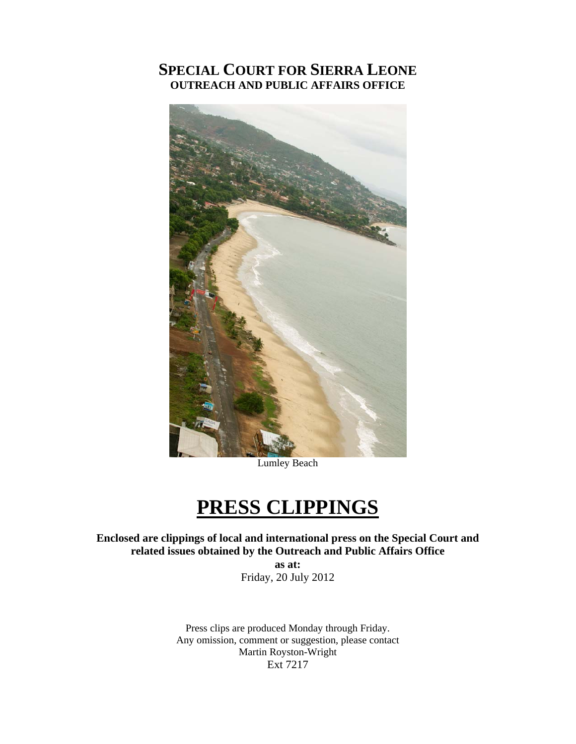#### **SPECIAL COURT FOR SIERRA LEONE OUTREACH AND PUBLIC AFFAIRS OFFICE**



Lumley Beach

### **PRESS CLIPPINGS**

**Enclosed are clippings of local and international press on the Special Court and related issues obtained by the Outreach and Public Affairs Office** 

**as at:**  Friday, 20 July 2012

Press clips are produced Monday through Friday. Any omission, comment or suggestion, please contact Martin Royston-Wright Ext 7217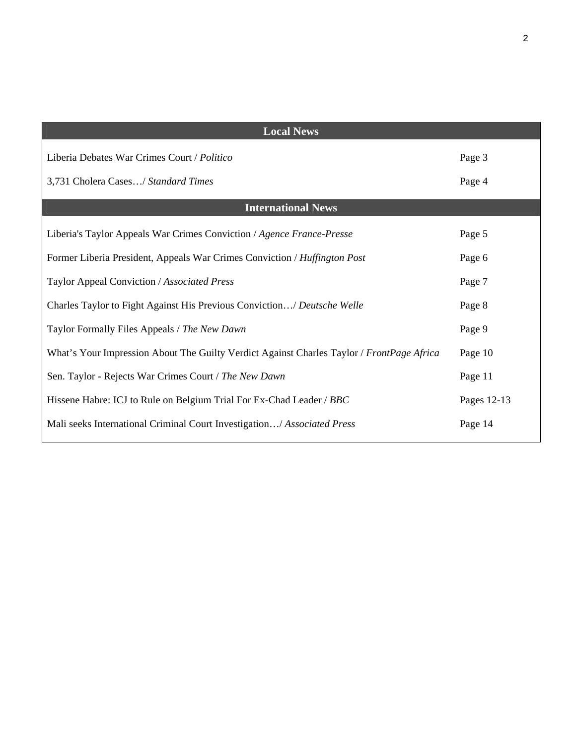| <b>Local News</b>                                                                         |             |
|-------------------------------------------------------------------------------------------|-------------|
| Liberia Debates War Crimes Court / Politico                                               | Page 3      |
| 3,731 Cholera Cases/ Standard Times                                                       | Page 4      |
| <b>International News</b>                                                                 |             |
| Liberia's Taylor Appeals War Crimes Conviction / Agence France-Presse                     | Page 5      |
| Former Liberia President, Appeals War Crimes Conviction / Huffington Post                 | Page 6      |
| Taylor Appeal Conviction / Associated Press                                               | Page 7      |
| Charles Taylor to Fight Against His Previous Conviction/ Deutsche Welle                   | Page 8      |
| Taylor Formally Files Appeals / The New Dawn                                              | Page 9      |
| What's Your Impression About The Guilty Verdict Against Charles Taylor / FrontPage Africa | Page 10     |
| Sen. Taylor - Rejects War Crimes Court / The New Dawn                                     | Page 11     |
| Hissene Habre: ICJ to Rule on Belgium Trial For Ex-Chad Leader / BBC                      | Pages 12-13 |
| Mali seeks International Criminal Court Investigation/ Associated Press                   | Page 14     |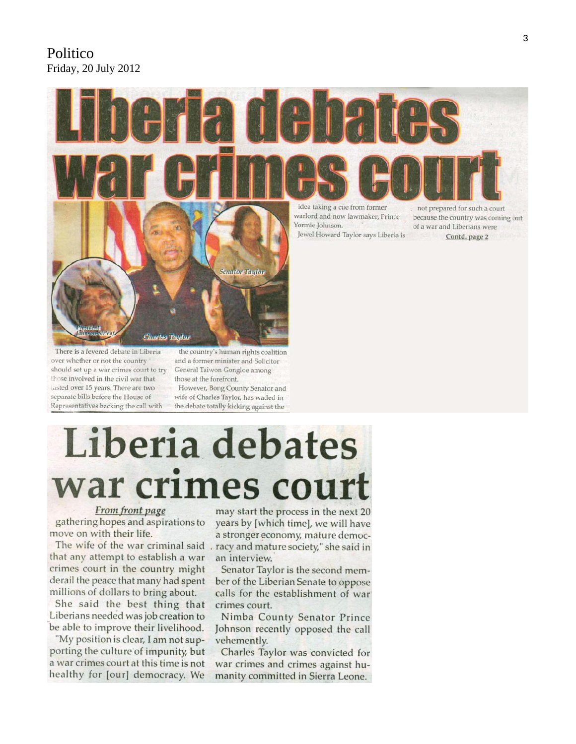#### Politico Friday, 20 July 2012



There is a fevered debate in Liberia over whether or not the country should set up a war crimes court to try those involved in the civil war that lasted over 15 years. There are two separate bills before the House of Representatives backing the call with

Charles Taylor

the country's human rights coalition and a former minister and Solicitor General Taiwon Gongloe among those at the forefront.

**Senator Taylor** 

However, Bong County Senator and wife of Charles Taylor, has waded in the debate totally kicking against the

# Liberia debates war crimes cour

#### From front page

gathering hopes and aspirations to move on with their life.

that any attempt to establish a war crimes court in the country might derail the peace that many had spent millions of dollars to bring about.

She said the best thing that Liberians needed was job creation to be able to improve their livelihood.

"My position is clear, I am not supporting the culture of impunity, but a war crimes court at this time is not healthy for [our] democracy. We

may start the process in the next 20 years by [which time], we will have a stronger economy, mature democ-The wife of the war criminal said . racy and mature society," she said in an interview.

> Senator Taylor is the second member of the Liberian Senate to oppose calls for the establishment of war crimes court.

> Nimba County Senator Prince Johnson recently opposed the call vehemently.

> Charles Taylor was convicted for war crimes and crimes against humanity committed in Sierra Leone.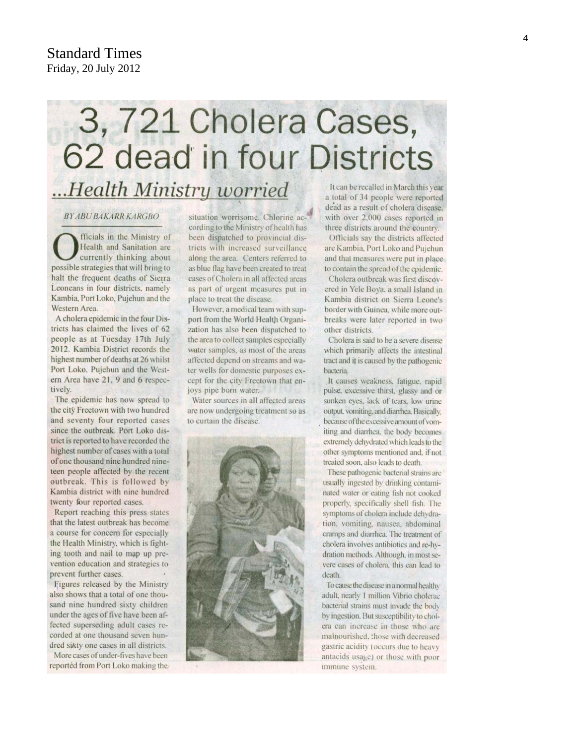#### Standard Times Friday, 20 July 2012

## 3, 721 Cholera Cases, 62 dead in four Districts ...Health Ministry worried

#### **BY ABU BAKARR KARGBO**

fficials in the Ministry of Health and Sanitation are currently thinking about possible strategies that will bring to halt the frequent deaths of Sierra Leoneans in four districts, namely Kambia, Port Loko, Pujehun and the Western Area.

A cholera epidemic in the four Districts has claimed the lives of 62 people as at Tuesday 17th July 2012. Kambia District records the highest number of deaths at 26 whilst Port Loko, Pujehun and the Western Area have 21, 9 and 6 respectively.

The epidemic has now spread to the city Freetown with two hundred and seventy four reported cases since the outbreak. Port Loko district is reported to have recorded the highest number of cases with a total of one thousand nine hundred nineteen people affected by the recent outbreak. This is followed by Kambia district with nine hundred twenty four reported cases.

Report reaching this press states that the latest outbreak has become a course for concern for especially the Health Ministry, which is fighting tooth and nail to map up prevention education and strategies to prevent further cases.

Figures released by the Ministry also shows that a total of one thousand nine hundred sixty children under the ages of five have been affected superseding adult cases recorded at one thousand seven hundred sixty one cases in all districts.

More cases of under-fives have been reported from Port Loko making the situation worrisome. Chlorine according to the Ministry of health has been dispatched to provincial districts with increased surveillance along the area. Centers referred to as blue flag have been created to treat cases of Cholera in all affected areas as part of urgent measures put in place to treat the disease.

However, a medical team with support from the World Health Organization has also been dispatched to the area to collect samples especially water samples, as most of the areas affected depend on streams and water wells for domestic purposes except for the city Freetown that enjoys pipe born water.

Water sources in all affected areas are now undergoing treatment so as to curtain the disease.



It can be recalled in March this year a total of 34 people were reported dead as a result of cholera disease. with over 2,000 cases reported in three districts around the country.

Officials say the districts affected are Kambia, Port Loko and Pujehun and that measures were put in place to contain the spread of the epidemic.

Cholera outbreak was first discovered in Yele Boya, a small Island in Kambia district on Sierra Leone's border with Guinea, while more outbreaks were later reported in two other districts.

Cholera is said to be a severe disease which primarily affects the intestinal tract and it is caused by the pathogenic bacteria.

It causes weakness, fatigue, rapid pulse, excessive thirst, glassy and or sunken eyes, lack of tears, low urine output, vomiting, and diarrhea. Basically, because of the excessive amount of vomiting and diarrhea, the body becomes extremely dehydrated which leads to the other symptoms mentioned and, if not treated soon, also leads to death.

These pathogenic bacterial strains are usually ingested by drinking contaminated water or eating fish not cooked properly, specifically shell fish. The symptoms of cholera include dehydration, vomiting, nausea, abdominal cramps and diarrhea. The treatment of cholera involves antibiotics and re-hydration methods. Although, in most severe cases of cholera, this can lead to death.

To cause the disease in a normal healthy adult, nearly 1 million Vibrio cholerac bacterial strains must invade the body by ingestion. But susceptibility to cholera can increase in those who are malnourished, those with decreased gastric acidity (occurs due to heavy antacids usage) or those with poor immune system.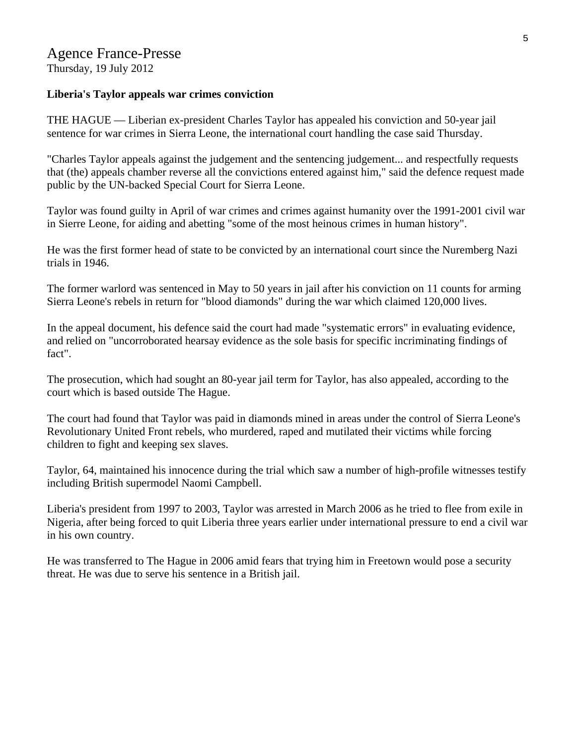#### Agence France-Presse Thursday, 19 July 2012

**Liberia's Taylor appeals war crimes conviction** 

THE HAGUE — Liberian ex-president Charles Taylor has appealed his conviction and 50-year jail sentence for war crimes in Sierra Leone, the international court handling the case said Thursday.

"Charles Taylor appeals against the judgement and the sentencing judgement... and respectfully requests that (the) appeals chamber reverse all the convictions entered against him," said the defence request made public by the UN-backed Special Court for Sierra Leone.

Taylor was found guilty in April of war crimes and crimes against humanity over the 1991-2001 civil war in Sierre Leone, for aiding and abetting "some of the most heinous crimes in human history".

He was the first former head of state to be convicted by an international court since the Nuremberg Nazi trials in 1946.

The former warlord was sentenced in May to 50 years in jail after his conviction on 11 counts for arming Sierra Leone's rebels in return for "blood diamonds" during the war which claimed 120,000 lives.

In the appeal document, his defence said the court had made "systematic errors" in evaluating evidence, and relied on "uncorroborated hearsay evidence as the sole basis for specific incriminating findings of fact".

The prosecution, which had sought an 80-year jail term for Taylor, has also appealed, according to the court which is based outside The Hague.

The court had found that Taylor was paid in diamonds mined in areas under the control of Sierra Leone's Revolutionary United Front rebels, who murdered, raped and mutilated their victims while forcing children to fight and keeping sex slaves.

Taylor, 64, maintained his innocence during the trial which saw a number of high-profile witnesses testify including British supermodel Naomi Campbell.

Liberia's president from 1997 to 2003, Taylor was arrested in March 2006 as he tried to flee from exile in Nigeria, after being forced to quit Liberia three years earlier under international pressure to end a civil war in his own country.

He was transferred to The Hague in 2006 amid fears that trying him in Freetown would pose a security threat. He was due to serve his sentence in a British jail.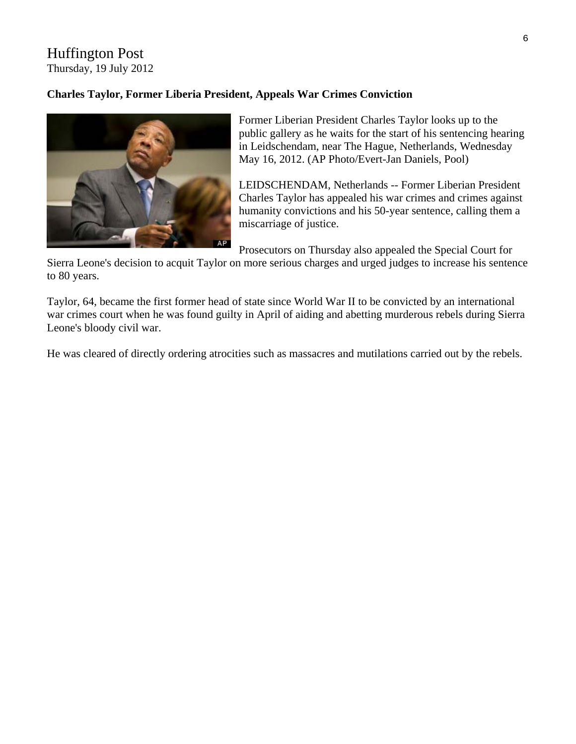#### Huffington Post Thursday, 19 July 2012

#### **Charles Taylor, Former Liberia President, Appeals War Crimes Conviction**



Former Liberian President Charles Taylor looks up to the public gallery as he waits for the start of his sentencing hearing in Leidschendam, near The Hague, Netherlands, Wednesday May 16, 2012. (AP Photo/Evert-Jan Daniels, Pool)

LEIDSCHENDAM, Netherlands -- Former Liberian President Charles Taylor has appealed his war crimes and crimes against humanity convictions and his 50-year sentence, calling them a miscarriage of justice.

Prosecutors on Thursday also appealed the Special Court for

Sierra Leone's decision to acquit Taylor on more serious charges and urged judges to increase his sentence to 80 years.

Taylor, 64, became the first former head of state since World War II to be convicted by an international war crimes court when he was found guilty in April of aiding and abetting murderous rebels during Sierra Leone's bloody civil war.

He was cleared of directly ordering atrocities such as massacres and mutilations carried out by the rebels.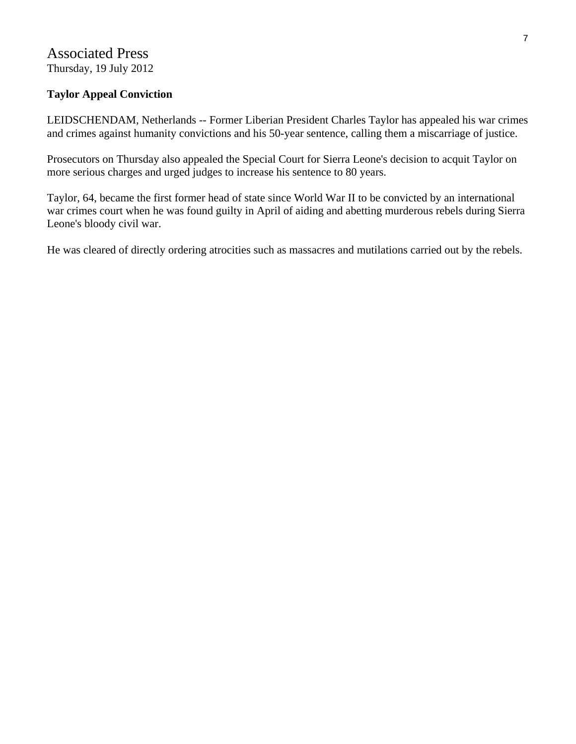#### Associated Press Thursday, 19 July 2012

#### **Taylor Appeal Conviction**

LEIDSCHENDAM, Netherlands -- Former Liberian President Charles Taylor has appealed his war crimes and crimes against humanity convictions and his 50-year sentence, calling them a miscarriage of justice.

Prosecutors on Thursday also appealed the Special Court for Sierra Leone's decision to acquit Taylor on more serious charges and urged judges to increase his sentence to 80 years.

Taylor, 64, became the first former head of state since World War II to be convicted by an international war crimes court when he was found guilty in April of aiding and abetting murderous rebels during Sierra Leone's bloody civil war.

He was cleared of directly ordering atrocities such as massacres and mutilations carried out by the rebels.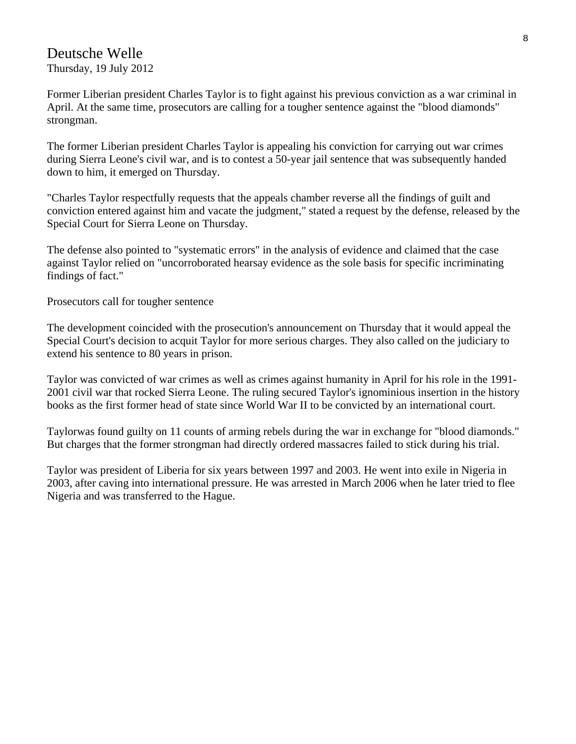#### Deutsche Welle Thursday, 19 July 2012

Former Liberian president Charles Taylor is to fight against his previous conviction as a war criminal in April. At the same time, prosecutors are calling for a tougher sentence against the "blood diamonds" strongman.

The former Liberian president Charles Taylor is appealing his conviction for carrying out war crimes during Sierra Leone's civil war, and is to contest a 50-year jail sentence that was subsequently handed down to him, it emerged on Thursday.

"Charles Taylor respectfully requests that the appeals chamber reverse all the findings of guilt and conviction entered against him and vacate the judgment," stated a request by the defense, released by the Special Court for Sierra Leone on Thursday.

The defense also pointed to "systematic errors" in the analysis of evidence and claimed that the case against Taylor relied on "uncorroborated hearsay evidence as the sole basis for specific incriminating findings of fact."

Prosecutors call for tougher sentence

The development coincided with the prosecution's announcement on Thursday that it would appeal the Special Court's decision to acquit Taylor for more serious charges. They also called on the judiciary to extend his sentence to 80 years in prison.

Taylor was convicted of war crimes as well as crimes against humanity in April for his role in the 1991- 2001 civil war that rocked Sierra Leone. The ruling secured Taylor's ignominious insertion in the history books as the first former head of state since World War II to be convicted by an international court.

Taylorwas found guilty on 11 counts of arming rebels during the war in exchange for "blood diamonds." But charges that the former strongman had directly ordered massacres failed to stick during his trial.

Taylor was president of Liberia for six years between 1997 and 2003. He went into exile in Nigeria in 2003, after caving into international pressure. He was arrested in March 2006 when he later tried to flee Nigeria and was transferred to the Hague.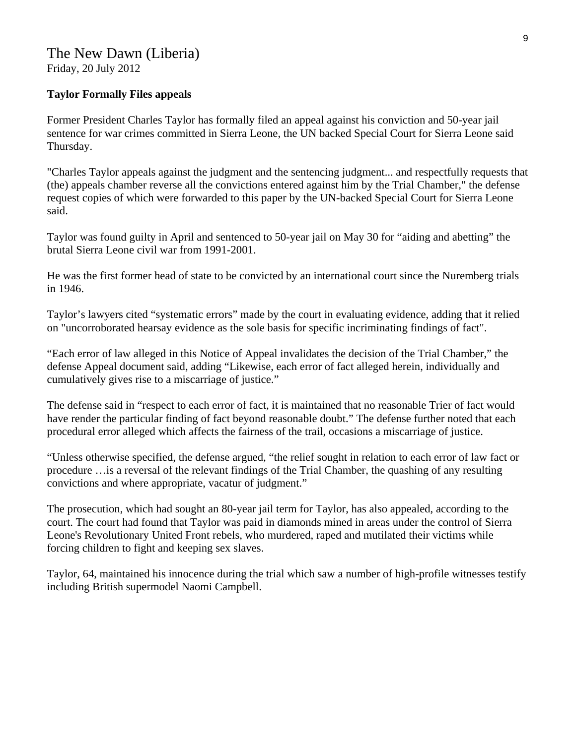#### **Taylor Formally Files appeals**

Former President Charles Taylor has formally filed an appeal against his conviction and 50-year jail sentence for war crimes committed in Sierra Leone, the UN backed Special Court for Sierra Leone said Thursday.

"Charles Taylor appeals against the judgment and the sentencing judgment... and respectfully requests that (the) appeals chamber reverse all the convictions entered against him by the Trial Chamber," the defense request copies of which were forwarded to this paper by the UN-backed Special Court for Sierra Leone said.

Taylor was found guilty in April and sentenced to 50-year jail on May 30 for "aiding and abetting" the brutal Sierra Leone civil war from 1991-2001.

He was the first former head of state to be convicted by an international court since the Nuremberg trials in 1946.

Taylor's lawyers cited "systematic errors" made by the court in evaluating evidence, adding that it relied on "uncorroborated hearsay evidence as the sole basis for specific incriminating findings of fact".

"Each error of law alleged in this Notice of Appeal invalidates the decision of the Trial Chamber," the defense Appeal document said, adding "Likewise, each error of fact alleged herein, individually and cumulatively gives rise to a miscarriage of justice."

The defense said in "respect to each error of fact, it is maintained that no reasonable Trier of fact would have render the particular finding of fact beyond reasonable doubt." The defense further noted that each procedural error alleged which affects the fairness of the trail, occasions a miscarriage of justice.

"Unless otherwise specified, the defense argued, "the relief sought in relation to each error of law fact or procedure …is a reversal of the relevant findings of the Trial Chamber, the quashing of any resulting convictions and where appropriate, vacatur of judgment."

The prosecution, which had sought an 80-year jail term for Taylor, has also appealed, according to the court. The court had found that Taylor was paid in diamonds mined in areas under the control of Sierra Leone's Revolutionary United Front rebels, who murdered, raped and mutilated their victims while forcing children to fight and keeping sex slaves.

Taylor, 64, maintained his innocence during the trial which saw a number of high-profile witnesses testify including British supermodel Naomi Campbell.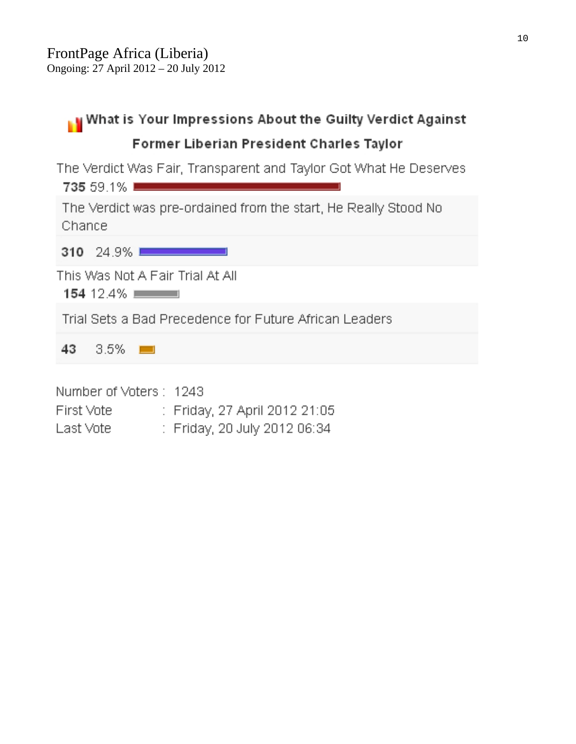| What is Your Impressions About the Guilty Verdict Against                                                          |
|--------------------------------------------------------------------------------------------------------------------|
| Former Liberian President Charles Taylor                                                                           |
| The Verdict Was Fair, Transparent and Taylor Got What He Deserves<br><b>735 59.1% Decree Address Communication</b> |
| The Verdict was pre-ordained from the start, He Really Stood No<br>Chance                                          |
| $310$ 24.9%                                                                                                        |
| This Was Not A Fair Trial At All<br>154 12.4% $\blacksquare$                                                       |
| Trial Sets a Bad Precedence for Future African Leaders                                                             |
| $3.5\%$ $\blacksquare$<br>43.                                                                                      |
| Number of Voters: 1243<br>First Vote<br>: Friday, 27 April 2012 21:05<br>: Friday, 20 July 2012 06:34<br>Last Vote |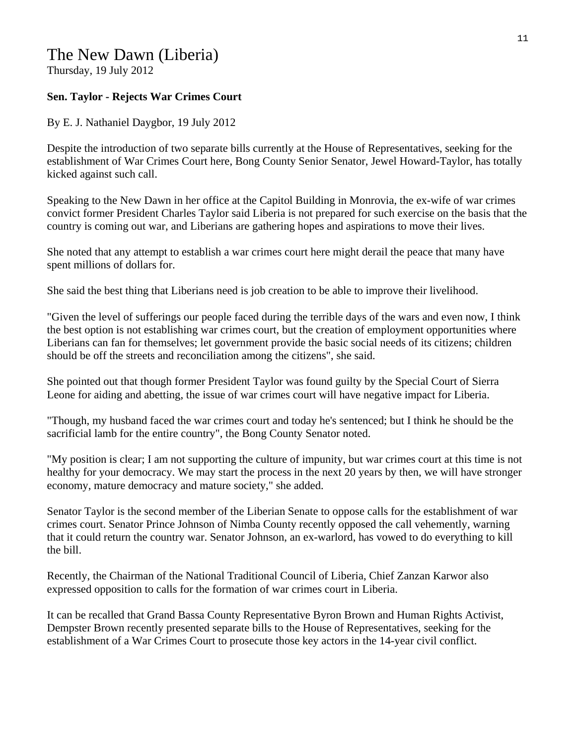#### The New Dawn (Liberia)

Thursday, 19 July 2012

#### **Sen. Taylor - Rejects War Crimes Court**

By E. J. Nathaniel Daygbor, 19 July 2012

Despite the introduction of two separate bills currently at the House of Representatives, seeking for the establishment of War Crimes Court here, Bong County Senior Senator, Jewel Howard-Taylor, has totally kicked against such call.

Speaking to the New Dawn in her office at the Capitol Building in Monrovia, the ex-wife of war crimes convict former President Charles Taylor said Liberia is not prepared for such exercise on the basis that the country is coming out war, and Liberians are gathering hopes and aspirations to move their lives.

She noted that any attempt to establish a war crimes court here might derail the peace that many have spent millions of dollars for.

She said the best thing that Liberians need is job creation to be able to improve their livelihood.

"Given the level of sufferings our people faced during the terrible days of the wars and even now, I think the best option is not establishing war crimes court, but the creation of employment opportunities where Liberians can fan for themselves; let government provide the basic social needs of its citizens; children should be off the streets and reconciliation among the citizens", she said.

She pointed out that though former President Taylor was found guilty by the Special Court of Sierra Leone for aiding and abetting, the issue of war crimes court will have negative impact for Liberia.

"Though, my husband faced the war crimes court and today he's sentenced; but I think he should be the sacrificial lamb for the entire country", the Bong County Senator noted.

"My position is clear; I am not supporting the culture of impunity, but war crimes court at this time is not healthy for your democracy. We may start the process in the next 20 years by then, we will have stronger economy, mature democracy and mature society," she added.

Senator Taylor is the second member of the Liberian Senate to oppose calls for the establishment of war crimes court. Senator Prince Johnson of Nimba County recently opposed the call vehemently, warning that it could return the country war. Senator Johnson, an ex-warlord, has vowed to do everything to kill the bill.

Recently, the Chairman of the National Traditional Council of Liberia, Chief Zanzan Karwor also expressed opposition to calls for the formation of war crimes court in Liberia.

It can be recalled that Grand Bassa County Representative Byron Brown and Human Rights Activist, Dempster Brown recently presented separate bills to the House of Representatives, seeking for the establishment of a War Crimes Court to prosecute those key actors in the 14-year civil conflict.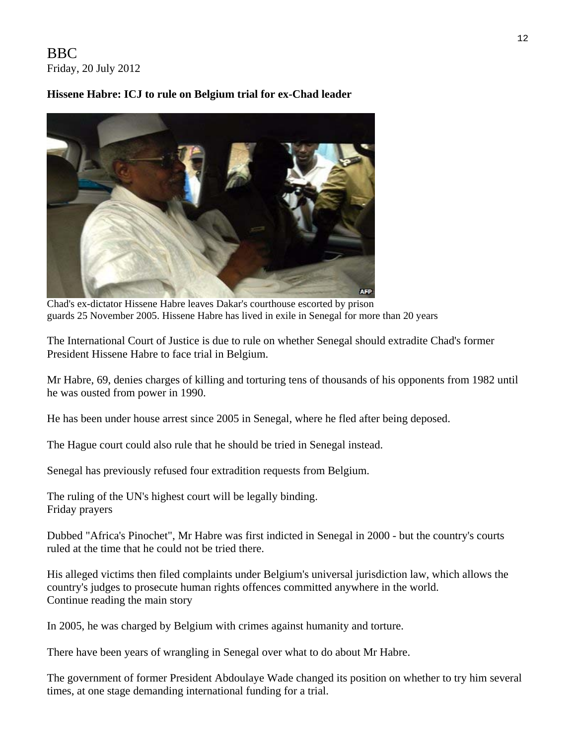#### BBC Friday, 20 July 2012

#### **Hissene Habre: ICJ to rule on Belgium trial for ex-Chad leader**



Chad's ex-dictator Hissene Habre leaves Dakar's courthouse escorted by prison guards 25 November 2005. Hissene Habre has lived in exile in Senegal for more than 20 years

The International Court of Justice is due to rule on whether Senegal should extradite Chad's former President Hissene Habre to face trial in Belgium.

Mr Habre, 69, denies charges of killing and torturing tens of thousands of his opponents from 1982 until he was ousted from power in 1990.

He has been under house arrest since 2005 in Senegal, where he fled after being deposed.

The Hague court could also rule that he should be tried in Senegal instead.

Senegal has previously refused four extradition requests from Belgium.

The ruling of the UN's highest court will be legally binding. Friday prayers

Dubbed "Africa's Pinochet", Mr Habre was first indicted in Senegal in 2000 - but the country's courts ruled at the time that he could not be tried there.

His alleged victims then filed complaints under Belgium's universal jurisdiction law, which allows the country's judges to prosecute human rights offences committed anywhere in the world. Continue reading the main story

In 2005, he was charged by Belgium with crimes against humanity and torture.

There have been years of wrangling in Senegal over what to do about Mr Habre.

The government of former President Abdoulaye Wade changed its position on whether to try him several times, at one stage demanding international funding for a trial.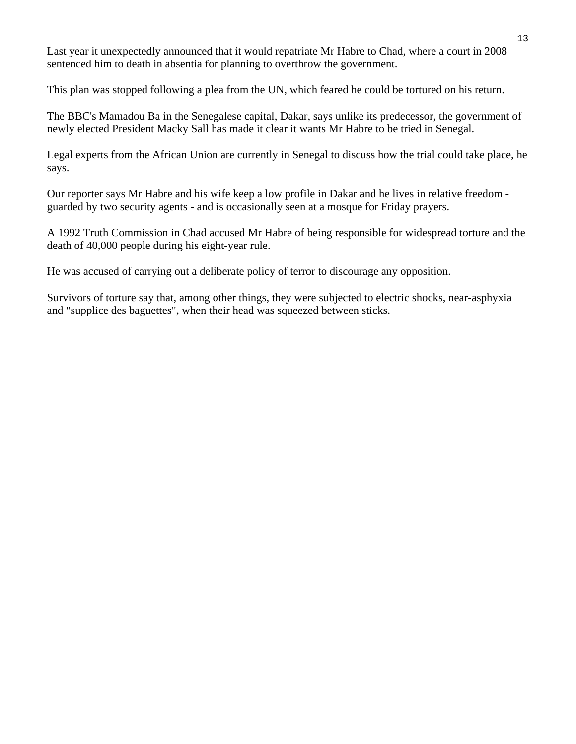Last year it unexpectedly announced that it would repatriate Mr Habre to Chad, where a court in 2008 sentenced him to death in absentia for planning to overthrow the government.

This plan was stopped following a plea from the UN, which feared he could be tortured on his return.

The BBC's Mamadou Ba in the Senegalese capital, Dakar, says unlike its predecessor, the government of newly elected President Macky Sall has made it clear it wants Mr Habre to be tried in Senegal.

Legal experts from the African Union are currently in Senegal to discuss how the trial could take place, he says.

Our reporter says Mr Habre and his wife keep a low profile in Dakar and he lives in relative freedom guarded by two security agents - and is occasionally seen at a mosque for Friday prayers.

A 1992 Truth Commission in Chad accused Mr Habre of being responsible for widespread torture and the death of 40,000 people during his eight-year rule.

He was accused of carrying out a deliberate policy of terror to discourage any opposition.

Survivors of torture say that, among other things, they were subjected to electric shocks, near-asphyxia and "supplice des baguettes", when their head was squeezed between sticks.